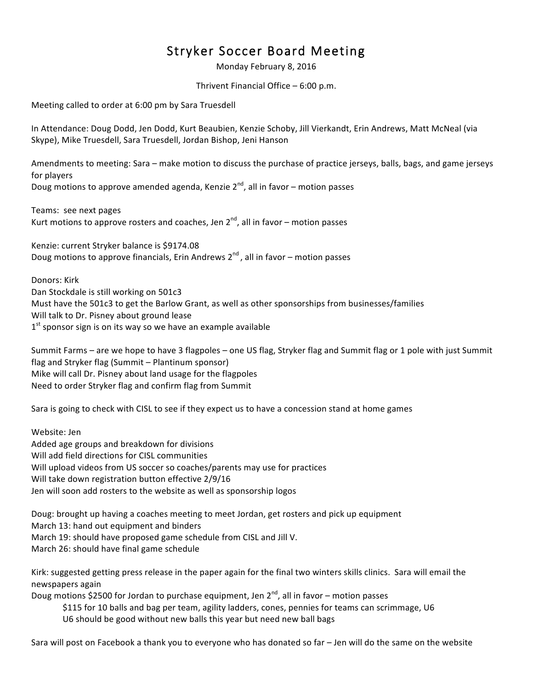## Stryker Soccer Board Meeting

Monday February 8, 2016

Thrivent Financial Office  $-6:00$  p.m.

Meeting called to order at 6:00 pm by Sara Truesdell

In Attendance: Doug Dodd, Jen Dodd, Kurt Beaubien, Kenzie Schoby, Jill Vierkandt, Erin Andrews, Matt McNeal (via Skype), Mike Truesdell, Sara Truesdell, Jordan Bishop, Jeni Hanson

Amendments to meeting: Sara – make motion to discuss the purchase of practice jerseys, balls, bags, and game jerseys for players

Doug motions to approve amended agenda, Kenzie  $2^{nd}$ , all in favor – motion passes

Teams: see next pages Kurt motions to approve rosters and coaches, Jen  $2^{nd}$ , all in favor – motion passes

Kenzie: current Stryker balance is \$9174.08 Doug motions to approve financials, Erin Andrews  $2^{nd}$ , all in favor – motion passes

Donors: Kirk Dan Stockdale is still working on 501c3 Must have the 501c3 to get the Barlow Grant, as well as other sponsorships from businesses/families Will talk to Dr. Pisney about ground lease  $1<sup>st</sup>$  sponsor sign is on its way so we have an example available

Summit Farms – are we hope to have 3 flagpoles – one US flag, Stryker flag and Summit flag or 1 pole with just Summit flag and Stryker flag (Summit – Plantinum sponsor) Mike will call Dr. Pisney about land usage for the flagpoles Need to order Stryker flag and confirm flag from Summit

Sara is going to check with CISL to see if they expect us to have a concession stand at home games

Website: Jen Added age groups and breakdown for divisions Will add field directions for CISL communities Will upload videos from US soccer so coaches/parents may use for practices Will take down registration button effective 2/9/16 Jen will soon add rosters to the website as well as sponsorship logos

Doug: brought up having a coaches meeting to meet Jordan, get rosters and pick up equipment

March 13: hand out equipment and binders

March 19: should have proposed game schedule from CISL and Jill V.

March 26: should have final game schedule

Kirk: suggested getting press release in the paper again for the final two winters skills clinics. Sara will email the newspapers again

Doug motions \$2500 for Jordan to purchase equipment, Jen  $2^{nd}$ , all in favor – motion passes \$115 for 10 balls and bag per team, agility ladders, cones, pennies for teams can scrimmage, U6 U6 should be good without new balls this year but need new ball bags

Sara will post on Facebook a thank you to everyone who has donated so far – Jen will do the same on the website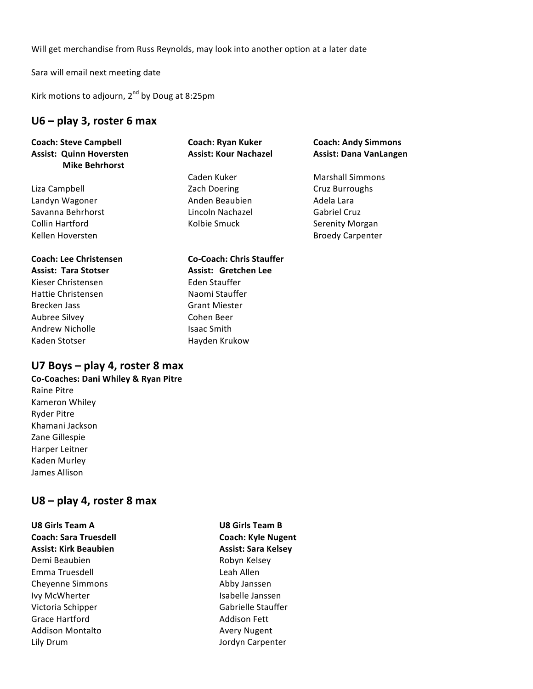Will get merchandise from Russ Reynolds, may look into another option at a later date

Sara will email next meeting date

Kirk motions to adjourn,  $2^{nd}$  by Doug at 8:25pm

#### **U6 – play 3, roster 6 max**

| <b>Coach: Steve Campbell</b><br><b>Assist: Quinn Hoversten</b><br><b>Mike Behrhorst</b> | <b>Coach: Ryan Kuker</b><br><b>Assist: Kour Nachazel</b> | <b>Coach: Andy Simmons</b><br><b>Assist: Dana VanLangen</b> |               |              |                         |
|-----------------------------------------------------------------------------------------|----------------------------------------------------------|-------------------------------------------------------------|---------------|--------------|-------------------------|
|                                                                                         |                                                          |                                                             |               | Caden Kuker  | <b>Marshall Simmons</b> |
|                                                                                         |                                                          |                                                             | Liza Campbell | Zach Doering | Cruz Burroughs          |
| Landyn Wagoner                                                                          | Anden Beaubien                                           | Adela Lara                                                  |               |              |                         |
| Savanna Behrhorst                                                                       | Lincoln Nachazel                                         | <b>Gabriel Cruz</b>                                         |               |              |                         |
| Collin Hartford                                                                         | Kolbie Smuck                                             | Serenity Morgan                                             |               |              |                         |
| Kellen Hoversten                                                                        |                                                          | <b>Broedy Carpenter</b>                                     |               |              |                         |
| <b>Coach: Lee Christensen</b>                                                           | <b>Co-Coach: Chris Stauffer</b>                          |                                                             |               |              |                         |
| <b>Assist: Tara Stotser</b>                                                             | Assist: Gretchen Lee                                     |                                                             |               |              |                         |
| Kieser Christensen                                                                      | Eden Stauffer                                            |                                                             |               |              |                         |
| <b>Hattie Christensen</b>                                                               | Naomi Stauffer                                           |                                                             |               |              |                         |
| Brecken Jass                                                                            | <b>Grant Miester</b>                                     |                                                             |               |              |                         |
| Aubree Silvey                                                                           | Cohen Beer                                               |                                                             |               |              |                         |
| Andrew Nicholle                                                                         | <b>Isaac Smith</b>                                       |                                                             |               |              |                         |

#### **U7 Boys – play 4, roster 8 max**

Kaden Stotser **Hayden** Krukow

- **Co-Coaches: Dani Whiley & Ryan Pitre**
- Raine Pitre Kameron Whiley **Ryder Pitre** Khamani Jackson Zane Gillespie Harper Leitner Kaden Murley James Allison

#### **U8 – play 4, roster 8 max**

U8 Girls Team A **U8** Girls Team B **Coach: Sara Truesdell <b>Coach:** Coach: Kyle Nugent **Assist: Kirk Beaubien Assist: Sara Kelsey** Demi Beaubien and Beaubien and Beaubien and Beaubien and Beaumont Robyn Kelsey Emma Truesdell and Leah Allen Cheyenne Simmons **Abby Janssen** Ivy McWherter **Islams** Isabelle Janssen Victoria Schipper Gabrielle Stauffer Grace Hartford **Addison** Fett Addison Montalto **Avery Nugent** Lily Drum and the contract of the contract of the United States of the United States of the United States of the United States of the United States of the United States of the United States of the United States of the Unit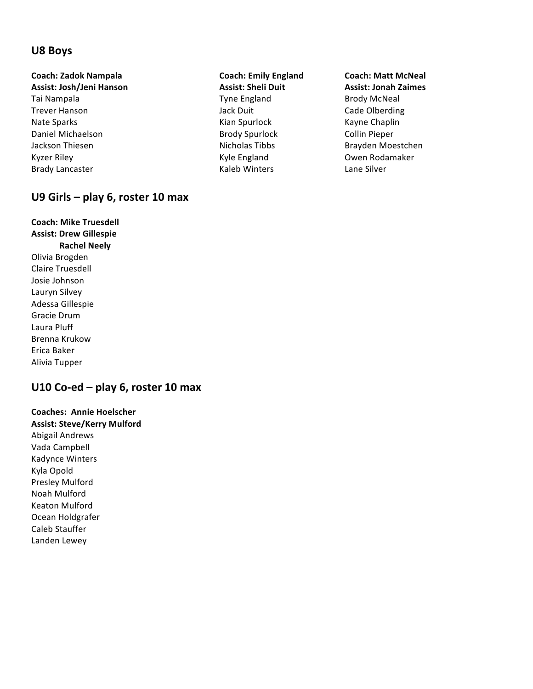#### **U8 Boys**

### **Coach: Zadok Nampala Coach: Emily England Coach: Matt McNeal**

- Tai Nampala **The England** Brody McNeal and Tyne England Brody McNeal Trever Hanson **Matter Cale Colberding** State Olberding Jack Duit **Cade Olberding** Nate Sparks **Mate Sparks Kian Spurlock** Kayne Chaplin Daniel Michaelson **Brody Spurlock** Collin Pieper Jackson Thiesen **Nicholas Tibbs** Brayden Moestchen Kyzer Riley **Kyle** England **Communist Communist Communist Communist Communist Communist Communist Communist Communist Communist Communist Communist Communist Communist Communist Communist Communist Communist Communist Comm**
- **Assist: Josh/Jeni Hanson Assist: Sheli Duit Assist: Jonah Zaimes** Brady Lancaster **Example 20** Caleb Winters **Lane Silver**

#### U9 Girls - play 6, roster 10 max

**Coach: Mike Truesdell Assist: Drew Gillespie Rachel Neely** Olivia Brogden Claire Truesdell Josie Johnson Lauryn Silvey Adessa Gillespie Gracie Drum Laura Pluff Brenna Krukow Erica Baker Alivia Tupper

#### **U10 Co-ed – play 6, roster 10 max**

**Coaches: Annie Hoelscher Assist: Steve/Kerry Mulford** Abigail Andrews Vada Campbell Kadynce Winters Kyla Opold Presley Mulford Noah Mulford Keaton Mulford Ocean Holdgrafer Caleb Stauffer Landen Lewey